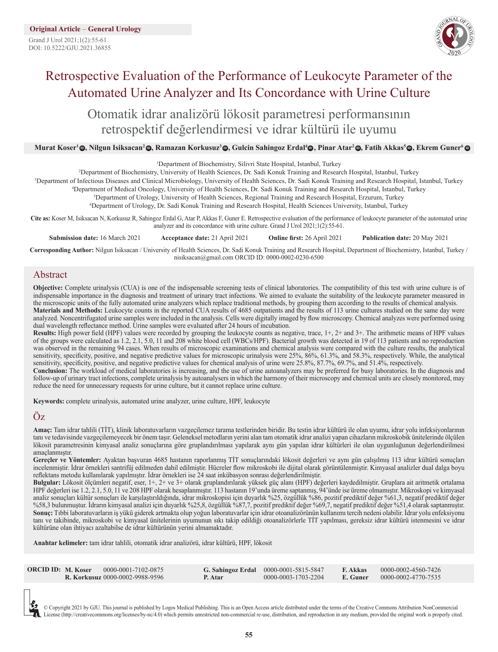Grand J Urol 2021;1(2):55-61 DOI: 10.5222/GJU.2021.36855



# Retrospective Evaluation of the Performance of Leukocyte Parameter of the Automated Urine Analyzer and Its Concordance with Urine Culture

Otomatik idrar analizörü lökosit parametresi performansının retrospektif değerlendirmesi ve idrar kültürü ile uyumu

#### Murat Koser'@, Nilgun Isiksacan'@, Ramazan Korkusuz'@, Gulcin Sahingoz Erdal'@, Pinar Atar'@, Fatih Akkas<sup>s</sup>@, Ekrem Guner' @

|                                                                                                                                                                                                                                                                    | <sup>1</sup> Department of Biochemistry, Silivri State Hospital, Istanbul, Turkey                                               |                                    |                               |  |  |
|--------------------------------------------------------------------------------------------------------------------------------------------------------------------------------------------------------------------------------------------------------------------|---------------------------------------------------------------------------------------------------------------------------------|------------------------------------|-------------------------------|--|--|
| <sup>2</sup> Department of Biochemistry, University of Health Sciences, Dr. Sadi Konuk Training and Research Hospital, Istanbul, Turkey                                                                                                                            |                                                                                                                                 |                                    |                               |  |  |
| <sup>3</sup> Department of Infectious Diseases and Clinical Microbiology, University of Health Sciences, Dr. Sadi Konuk Training and Research Hospital, Istanbul, Turkey                                                                                           |                                                                                                                                 |                                    |                               |  |  |
| <sup>4</sup> Department of Medical Oncology, University of Health Sciences, Dr. Sadi Konuk Training and Research Hospital, Istanbul, Turkey                                                                                                                        |                                                                                                                                 |                                    |                               |  |  |
|                                                                                                                                                                                                                                                                    | <sup>5</sup> Department of Urology, University of Health Sciences, Regional Training and Research Hospital, Erzurum, Turkey     |                                    |                               |  |  |
|                                                                                                                                                                                                                                                                    | <sup>6</sup> Department of Urology, Dr. Sadi Konuk Training and Research Hospital, Health Sciences University, Istanbul, Turkey |                                    |                               |  |  |
| Cite as: Koser M, Isiksacan N, Korkusuz R, Sahingoz Erdal G, Atar P, Akkas F, Guner E. Retrospective evaluation of the performance of leukocyte parameter of the automated urine<br>analyzer and its concordance with urine culture. Grand J Urol 2021;1(2):55-61. |                                                                                                                                 |                                    |                               |  |  |
| <b>Submission date: 16 March 2021</b>                                                                                                                                                                                                                              | <b>Acceptance date: 21 April 2021</b>                                                                                           | <b>Online first: 26 April 2021</b> | Publication date: 20 May 2021 |  |  |
| Corresponding Author: Nilgun Isiksacan / University of Health Sciences, Dr. Sadi Konuk Training and Research Hospital, Department of Biochemistry, Istanbul, Turkey /                                                                                              |                                                                                                                                 |                                    |                               |  |  |

**Corresponding Author:** Nilgun Isiksacan / University of Health Sciences, Dr. Sadi Konuk Training and Research Hospital, Department of Biochemistry, Istanbul, Turkey / [nisiksacan@gmail.com](file:///Users/logos/Desktop/GJU/*GJU-cilt-1-sayi-2-Mayis/GJU-cilt-1-sayi-2-mayis-2021-redaksiyondan%20gelenler/javascript:admin() ORCID ID: 0000-0002-0230-6500

## Abstract

**Objective:** Complete urinalysis (CUA) is one of the indispensable screening tests of clinical laboratories. The compatibility of this test with urine culture is of indispensable importance in the diagnosis and treatment of urinary tract infections. We aimed to evaluate the suitability of the leukocyte parameter measured in the microscopic units of the fully automated urine analyzers which replace traditional methods, by grouping them according to the results of chemical analysis. **Materials and Methods:** Leukocyte counts in the reported CUA results of 4685 outpatients and the results of 113 urine cultures studied on the same day were analyzed. Noncentrifugated urine samples were included in the analysis. Cells were digitally imaged by flow microscopy. Chemical analyzes were performed using dual wavelength reflectance method. Urine samples were evaluated after 24 hours of incubation.

**Results:** High power field (HPF) values were recorded by grouping the leukocyte counts as negative, trace, 1+, 2+ and 3+. The arithmetic means of HPF values of the groups were calculated as 1.2, 2.1, 5.0, 11 and 208 white blood cell (WBCs/HPF). Bacterial growth was detected in 19 of 113 patients and no reproduction was observed in the remaining 94 cases. When results of microscopic examinations and chemical analysis were compared with the culture results, the analytical sensitivity, specificity, positive, and negative predictive values for microscopic urinalysis were  $25\%$ ,  $86\%$ ,  $61.3\%$ , and  $58.3\%$ , respectively. While, the analytical sensitivity, specificity, positive, and negative predictive values for chemical analysis of urine were 25.8%, 87.7%, 69.7%, and 51.4%, respectively.

**Conclusion:** The workload of medical laboratories is increasing, and the use of urine autoanalyzers may be preferred for busy laboratories. In the diagnosis and follow-up of urinary tract infections, complete urinalysis by autoanalysers in which the harmony of their microscopy and chemical units are closely monitored, may reduce the need for unnecessary requests for urine culture, but it cannot replace urine culture.

**Keywords:** complete urinalysis, automated urine analyzer, urine culture, HPF, leukocyte

## Öz

**Amaç:** Tam idrar tahlili (TİT), klinik laboratuvarların vazgeçilemez tarama testlerinden biridir. Bu testin idrar kültürü ile olan uyumu, idrar yolu infeksiyonlarının tanı ve tedavisinde vazgeçilemeyecek bir önem taşır. Geleneksel metodların yerini alan tam otomatik idrar analizi yapan cihazların mikroskobik ünitelerinde ölçülen lökosit parametresinin kimyasal analiz sonuçlarına göre gruplandırılması yapılarak aynı gün yapılan idrar kültürleri ile olan uygunluğunun değerlendirilmesi amaçlanmıştır.

**Gereçler ve Yöntemler:** Ayaktan başvuran 4685 hastanın raporlanmış TİT sonuçlarındaki lökosit değerleri ve aynı gün çalışılmış 113 idrar kültürü sonuçları incelenmiştir. İdrar örnekleri santrifüj edilmeden dahil edilmiştir. Hücreler flow mikroskobi ile dijital olarak görüntülenmiştir. Kimyasal analizler dual dalga boyu reflektans metodu kullanılarak yapılmıştır. İdrar örnekleri ise 24 saat inkübasyon sonrası değerlendirilmiştir.

**Bulgular:** Lökosit ölçümleri negatif, eser, 1+, 2+ ve 3+ olarak gruplandırılarak yüksek güç alanı (HPF) değerleri kaydedilmiştir. Gruplara ait aritmetik ortalama HPF değerleri ise 1.2, 2.1, 5.0, 11 ve 208 HPF olarak hesaplanmıştır. 113 hastanın 19'unda üreme saptanmış, 94'ünde ise üreme olmamıştır. Mikroskopi ve kimyasal analiz sonuçları kültür sonuçları ile karşılaştırıldığında, idrar mikroskopisi için duyarlık %25, özgüllük %86, pozitif prediktif değer %61,3, negatif prediktif değer %58,3 bulunmuştur. İdrarın kimyasal analizi için duyarlık %25,8, özgüllük %87,7, pozitif prediktif değer %69,7, negatif prediktif değer %51,4 olarak saptanmıştır. **Sonuç:** Tıbbi laboratuvarların iş yükü giderek artmakta olup yoğun laboratuvarlar için idrar otoanalizörünün kullanımı tercih nedeni olabilir. İdrar yolu enfeksiyonu tanı ve takibinde, mikroskobi ve kimyasal ünitelerinin uyumunun sıkı takip edildiği otoanalizörlerle TİT yapılması, gereksiz idrar kültürü istenmesini ve idrar kültürüne olan ihtiyacı azaltabilse de idrar kültürünün yerini almamaktadır.

**Anahtar kelimeler:** tam idrar tahlili, otomatik idrar analizörü, idrar kültürü, HPF, lökosit

| <b>ORCID ID: M. Koser</b> | 0000-0001-7102-0875                    |         | <b>G. Sahingoz Erdal</b> 0000-0001-5815-5847 | <b>F. Akkas</b> | 0000-0002-4560-7426   |
|---------------------------|----------------------------------------|---------|----------------------------------------------|-----------------|-----------------------|
|                           | <b>R. Korkusuz</b> 0000-0002-9988-9596 | P. Atar | 0000-0003-1703-2204                          | E. Guner        | $0000-0002-4770-7535$ |

© Copyright 2021 by GJU. This journal is published by Logos Medical Publishing. This is an Open Access article distributed under the terms of the Creative Commons Attribution NonCommercial License (http://creativecommons.org/licenses/by-nc/4.0) which permits unrestricted non-commercial re-use, distribution, and reproduction in any medium, provided the original work is properly cited.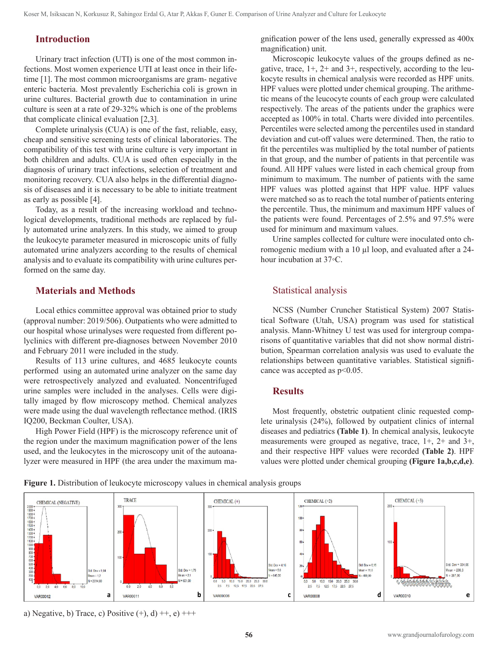#### **Introduction**

Urinary tract infection (UTI) is one of the most common infections. Most women experience UTI at least once in their lifetime [1]. The most common microorganisms are gram- negative enteric bacteria. Most prevalently Escherichia coli is grown in urine cultures. Bacterial growth due to contamination in urine culture is seen at a rate of 29-32% which is one of the problems that complicate clinical evaluation [2,3].

Complete urinalysis (CUA) is one of the fast, reliable, easy, cheap and sensitive screening tests of clinical laboratories. The compatibility of this test with urine culture is very important in both children and adults. CUA is used often especially in the diagnosis of urinary tract infections, selection of treatment and monitoring recovery. CUA also helps in the differential diagnosis of diseases and it is necessary to be able to initiate treatment as early as possible [4].

Today, as a result of the increasing workload and technological developments, traditional methods are replaced by fully automated urine analyzers. In this study, we aimed to group the leukocyte parameter measured in microscopic units of fully automated urine analyzers according to the results of chemical analysis and to evaluate its compatibility with urine cultures performed on the same day.

## **Materials and Methods**

Local ethics committee approval was obtained prior to study (approval number: 2019/506). Outpatients who were admitted to our hospital whose urinalyses were requested from different polyclinics with different pre-diagnoses between November 2010 and February 2011 were included in the study.

Results of 113 urine cultures, and 4685 leukocyte counts performed using an automated urine analyzer on the same day were retrospectively analyzed and evaluated. Noncentrifuged urine samples were included in the analyses. Cells were digitally imaged by flow microscopy method. Chemical analyzes were made using the dual wavelength reflectance method. (IRIS IQ200, Beckman Coulter, USA).

High Power Field (HPF) is the microscopy reference unit of the region under the maximum magnification power of the lens used, and the leukocytes in the microscopy unit of the autoanalyzer were measured in HPF (the area under the maximum magnification power of the lens used, generally expressed as 400x magnification) unit.

Microscopic leukocyte values of the groups defined as negative, trace,  $1+$ ,  $2+$  and  $3+$ , respectively, according to the leukocyte results in chemical analysis were recorded as HPF units. HPF values were plotted under chemical grouping. The arithmetic means of the leucocyte counts of each group were calculated respectively. The areas of the patients under the graphics were accepted as 100% in total. Charts were divided into percentiles. Percentiles were selected among the percentiles used in standard deviation and cut-off values were determined. Then, the ratio to fit the percentiles was multiplied by the total number of patients in that group, and the number of patients in that percentile was found. All HPF values were listed in each chemical group from minimum to maximum. The number of patients with the same HPF values was plotted against that HPF value. HPF values were matched so as to reach the total number of patients entering the percentile. Thus, the minimum and maximum HPF values of the patients were found. Percentages of 2.5% and 97.5% were used for minimum and maximum values.

Urine samples collected for culture were inoculated onto chromogenic medium with a 10 ul loop, and evaluated after a 24hour incubation at 37◦C.

## Statistical analysis

NCSS (Number Cruncher Statistical System) 2007 Statistical Software (Utah, USA) program was used for statistical analysis. Mann-Whitney U test was used for intergroup comparisons of quantitative variables that did not show normal distribution, Spearman correlation analysis was used to evaluate the relationships between quantitative variables. Statistical significance was accepted as  $p<0.05$ .

#### **Results**

Most frequently, obstetric outpatient clinic requested complete urinalysis (24%), followed by outpatient clinics of internal diseases and pediatrics **(Table 1)**. In chemical analysis, leukocyte measurements were grouped as negative, trace, 1+, 2+ and 3+, and their respective HPF values were recorded **(Table 2)**. HPF values were plotted under chemical grouping **(Figure 1a,b,c,d,e)**.



**Figure 1.** Distribution of leukocyte microscopy values in chemical analysis groups

a) Negative, b) Trace, c) Positive  $(+)$ , d)  $++$ , e)  $+++$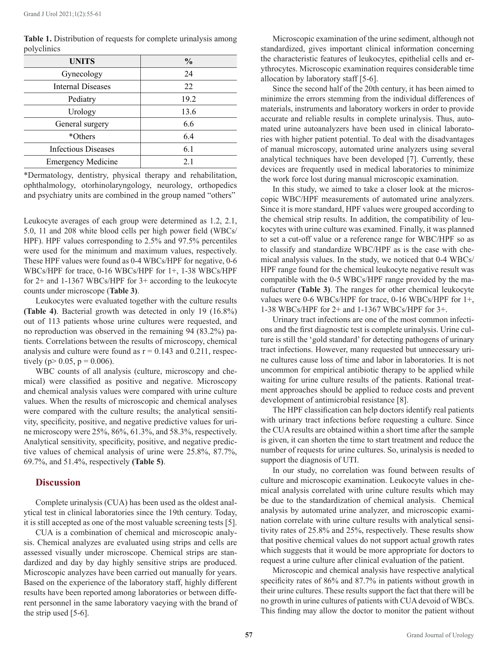| <b>UNITS</b>               | $\frac{0}{0}$ |
|----------------------------|---------------|
| Gynecology                 | 24            |
| <b>Internal Diseases</b>   | 22            |
| Pediatry                   | 19.2          |
| Urology                    | 13.6          |
| General surgery            | 6.6           |
| *Others                    | 6.4           |
| <b>Infectious Diseases</b> | 6.1           |
| <b>Emergency Medicine</b>  | 2.1           |

**Table 1.** Distribution of requests for complete urinalysis among polyclinics

\*Dermatology, dentistry, physical therapy and rehabilitation, ophthalmology, otorhinolaryngology, neurology, orthopedics and psychiatry units are combined in the group named "others"

Leukocyte averages of each group were determined as 1.2, 2.1, 5.0, 11 and 208 white blood cells per high power field (WBCs/ HPF). HPF values corresponding to 2.5% and 97.5% percentiles were used for the minimum and maximum values, respectively. These HPF values were found as 0-4 WBCs/HPF for negative, 0-6 WBCs/HPF for trace, 0-16 WBCs/HPF for 1+, 1-38 WBCs/HPF for 2+ and 1-1367 WBCs/HPF for 3+ according to the leukocyte counts under microscope (**Table 3)**.

Leukocytes were evaluated together with the culture results **(Table 4)**. Bacterial growth was detected in only 19 (16.8%) out of 113 patients whose urine cultures were requested, and no reproduction was observed in the remaining 94 (83.2%) patients. Correlations between the results of microscopy, chemical analysis and culture were found as  $r = 0.143$  and 0.211, respectively ( $p > 0.05$ ,  $p = 0.006$ ).

WBC counts of all analysis (culture, microscopy and chemical) were classified as positive and negative. Microscopy and chemical analysis values were compared with urine culture values. When the results of microscopic and chemical analyses were compared with the culture results; the analytical sensitivity, specificity, positive, and negative predictive values for urine microscopy were 25%, 86%, 61.3%, and 58.3%, respectively. Analytical sensitivity, specificity, positive, and negative predictive values of chemical analysis of urine were 25.8%, 87.7%, 69.7%, and 51.4%, respectively **(Table 5)**.

#### **Discussion**

Complete urinalysis (CUA) has been used as the oldest analytical test in clinical laboratories since the 19th century. Today, it is still accepted as one of the most valuable screening tests [5].

CUA is a combination of chemical and microscopic analysis. Chemical analyzes are evaluated using strips and cells are assessed visually under microscope. Chemical strips are standardized and day by day highly sensitive strips are produced. Microscopic analyzes have been carried out manually for years. Based on the experience of the laboratory staff, highly different results have been reported among laboratories or between different personnel in the same laboratory vaeying with the brand of the strip used [5-6].

Microscopic examination of the urine sediment, although not standardized, gives important clinical information concerning the characteristic features of leukocytes, epithelial cells and erythrocytes. Microscopic examination requires considerable time allocation by laboratory staff [5-6].

Since the second half of the 20th century, it has been aimed to minimize the errors stemming from the individual differences of materials, instruments and laboratory workers in order to provide accurate and reliable results in complete urinalysis. Thus, automated urine autoanalyzers have been used in clinical laboratories with higher patient potential. To deal with the disadvantages of manual microscopy, automated urine analyzers using several analytical techniques have been developed [7]. Currently, these devices are frequently used in medical laboratories to minimize the work force lost during manual microscopic examination.

In this study, we aimed to take a closer look at the microscopic WBC/HPF measurements of automated urine analyzers. Since it is more standard, HPF values were grouped according to the chemical strip results. In addition, the compatibility of leukocytes with urine culture was examined. Finally, it was planned to set a cut-off value or a reference range for WBC/HPF so as to classify and standardize WBC/HPF as is the case with chemical analysis values. In the study, we noticed that 0-4 WBCs/ HPF range found for the chemical leukocyte negative result was compatible with the 0-5 WBCs/HPF range provided by the manufacturer **(Table 3)**. The ranges for other chemical leukocyte values were 0-6 WBCs/HPF for trace, 0-16 WBCs/HPF for 1+, 1-38 WBCs/HPF for 2+ and 1-1367 WBCs/HPF for 3+.

Urinary tract infections are one of the most common infections and the first diagnostic test is complete urinalysis. Urine culture is still the 'gold standard' for detecting pathogens of urinary tract infections. However, many requested but unnecessary urine cultures cause loss of time and labor in laboratories. It is not uncommon for empirical antibiotic therapy to be applied while waiting for urine culture results of the patients. Rational treatment approaches should be applied to reduce costs and prevent development of antimicrobial resistance [8].

The HPF classification can help doctors identify real patients with urinary tract infections before requesting a culture. Since the CUA results are obtained within a short time after the sample is given, it can shorten the time to start treatment and reduce the number of requests for urine cultures. So, urinalysis is needed to support the diagnosis of UTI.

In our study, no correlation was found between results of culture and microscopic examination. Leukocyte values in chemical analysis correlated with urine culture results which may be due to the standardization of chemical analysis. Chemical analysis by automated urine analyzer, and microscopic examination correlate with urine culture results with analytical sensitivity rates of 25.8% and 25%, respectively. These results show that positive chemical values do not support actual growth rates which suggests that it would be more appropriate for doctors to request a urine culture after clinical evaluation of the patient.

Microscopic and chemical analysis have respective analytical specificity rates of 86% and 87.7% in patients without growth in their urine cultures. These results support the fact that there will be no growth in urine cultures of patients with CUA devoid of WBCs. This finding may allow the doctor to monitor the patient without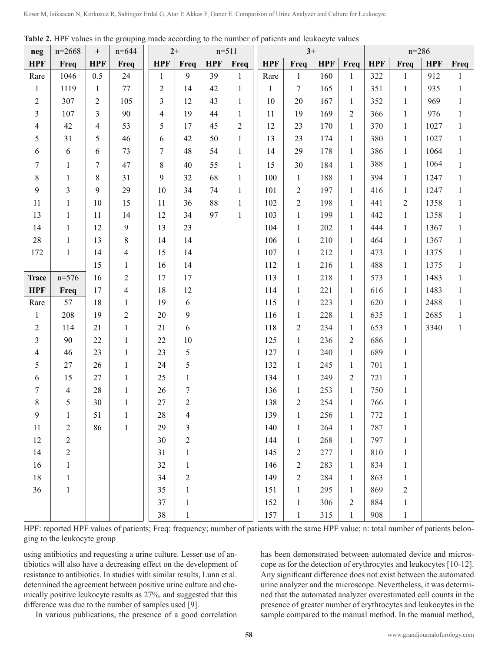|                         |                |                         |                                |                | $2+$           |            | <b>Table 2.</b> THE Values in the grouping made according to the number of patients and lettrocyte values<br>$n=511$<br>$3+$ |              |                              |            | $n = 286$                    |            |                              |              |                              |
|-------------------------|----------------|-------------------------|--------------------------------|----------------|----------------|------------|------------------------------------------------------------------------------------------------------------------------------|--------------|------------------------------|------------|------------------------------|------------|------------------------------|--------------|------------------------------|
| neg                     | $n=2668$       | $\boldsymbol{+}$        | $n = 644$                      |                |                |            |                                                                                                                              |              |                              |            |                              |            |                              |              |                              |
| <b>HPF</b>              | Freq           | <b>HPF</b>              | Freq                           | <b>HPF</b>     | Freq<br>9      | <b>HPF</b> | Freq                                                                                                                         | <b>HPF</b>   | Freq                         | <b>HPF</b> | Freq                         | <b>HPF</b> | Freq                         | <b>HPF</b>   | Freq                         |
| Rare                    | 1046           | 0.5                     | 24                             | 1              |                | 39         | $\mathbf{1}$                                                                                                                 | Rare         | $\mathbf{1}$                 | 160        | $\mathbf{1}$                 | 322        | $\mathbf{1}$                 | 912          | $\mathbf{1}$                 |
| $\mathbf{1}$            | 1119           | $\mathbf{1}$            | 77                             | $\mathfrak{2}$ | 14             | 42         | $\mathbf{1}$                                                                                                                 | $\mathbf{1}$ | $\tau$                       | 165        | $\mathbf{1}$                 | 351        | $\mathbf{1}$                 | 935          | $\mathbf{1}$                 |
| $\mathbf{2}$            | 307            | 2                       | 105                            | 3              | 12             | 43         | $\mathbf{1}$                                                                                                                 | 10           | 20                           | 167        | $\mathbf{1}$                 | 352        | $\mathbf{1}$                 | 969          | $\mathbf{1}$                 |
| $\mathfrak{Z}$          | 107            | $\overline{\mathbf{3}}$ | 90                             | $\overline{4}$ | 19<br>17       | 44<br>45   | 1                                                                                                                            | 11<br>12     | 19<br>23                     | 169        | $\sqrt{2}$                   | 366        | $\mathbf{1}$                 | 976          | $\mathbf{1}$                 |
| $\overline{4}$          | 42<br>31       | 4<br>5                  | 53<br>46                       | 5              | 42             | 50         | $\overline{c}$                                                                                                               | 13           | 23                           | 170<br>174 | $\mathbf{1}$                 | 370<br>380 | $\mathbf{1}$<br>$\mathbf{1}$ | 1027<br>1027 | 1<br>$\mathbf{1}$            |
| 5<br>6                  | 6              |                         | 73                             | 6<br>7         | 48             | 54         | $\mathbf{1}$                                                                                                                 | 14           | 29                           | 178        | $\mathbf{1}$                 | 386        | $\mathbf{1}$                 | 1064         |                              |
|                         |                | 6                       |                                |                |                |            | $\mathbf{1}$                                                                                                                 |              |                              |            | $\mathbf{1}$                 | 388        |                              | 1064         | $\mathbf{1}$                 |
| 7                       | $\mathbf{1}$   | 7                       | $47\,$                         | $\,$ 8 $\,$    | 40             | 55         | $\mathbf{1}$                                                                                                                 | 15           | 30                           | 184        | $\mathbf{1}$                 |            | $\mathbf{1}$                 |              | $\mathbf{1}$                 |
| $8\,$                   | $\mathbf{1}$   | 8                       | 31                             | 9              | 32             | 68         | $\mathbf{1}$                                                                                                                 | 100          | $\mathbf{1}$                 | 188        | $\mathbf{1}$                 | 394        | $\mathbf{1}$                 | 1247         | $\mathbf{1}$                 |
| 9                       | $\overline{3}$ | 9                       | 29                             | 10             | 34             | 74         | $\mathbf{1}$                                                                                                                 | 101          | $\sqrt{2}$                   | 197        | $\mathbf{1}$                 | 416        | $\mathbf{1}$                 | 1247         | $\mathbf{1}$                 |
| 11                      | $\mathbf{1}$   | 10                      | 15                             | 11             | 36             | 88<br>97   | $\mathbf{1}$                                                                                                                 | 102          | $\mathbf{2}$                 | 198        | $\mathbf{1}$                 | 441        | $\overline{2}$               | 1358         | $\mathbf{1}$                 |
| 13                      | $\mathbf{1}$   | 11                      | 14                             | 12             | 34             |            | $\mathbf{1}$                                                                                                                 | 103          | $\mathbf{1}$                 | 199        | $\mathbf{1}$                 | 442        | $\mathbf{1}$                 | 1358         | $\mathbf{1}$                 |
| 14                      | 1              | 12                      | $\boldsymbol{9}$               | 13             | 23<br>14       |            |                                                                                                                              | 104          | $\mathbf{1}$                 | 202        | $\mathbf{1}$                 | 444        | $\mathbf{1}$                 | 1367         | $\mathbf{1}$                 |
| $28\,$                  | $\mathbf{1}$   | 13                      | $8\,$                          | 14             | 14             |            |                                                                                                                              | 106<br>107   | $\mathbf{1}$                 | 210        | $\mathbf{1}$                 | 464        | $\mathbf{1}$                 | 1367<br>1375 | $\mathbf{1}$                 |
| 172                     | $\mathbf{1}$   | 14<br>15                | $\overline{4}$                 | 15<br>16       | 14             |            |                                                                                                                              | 112          | $\mathbf{1}$<br>$\mathbf{1}$ | 212<br>216 | $\mathbf{1}$                 | 473<br>488 | $\mathbf{1}$                 | 1375         | $\mathbf{1}$                 |
| <b>Trace</b>            | $n=576$        | 16                      | $\mathbf{1}$<br>$\overline{c}$ | 17             | 17             |            |                                                                                                                              | 113          | $\mathbf{1}$                 | 218        | $\mathbf{1}$<br>$\mathbf{1}$ | 573        | $\mathbf{1}$<br>$\mathbf{1}$ | 1483         | $\mathbf{1}$<br>$\mathbf{1}$ |
| <b>HPF</b>              | Freq           | 17                      | $\overline{\mathbf{4}}$        | 18             | 12             |            |                                                                                                                              | 114          | $\mathbf{1}$                 | 221        | $\mathbf{1}$                 | 616        | $\mathbf{1}$                 | 1483         | $\mathbf{1}$                 |
| Rare                    | 57             | 18                      | $\mathbf{1}$                   | 19             | 6              |            |                                                                                                                              | 115          | $\mathbf{1}$                 | 223        | $\mathbf{1}$                 | 620        | $\mathbf{1}$                 | 2488         | $\mathbf{1}$                 |
| $\mathbf{1}$            | 208            | 19                      | $\overline{c}$                 | 20             | 9              |            |                                                                                                                              | 116          | $\mathbf{1}$                 | 228        | $\mathbf{1}$                 | 635        | $\mathbf{1}$                 | 2685         | $\mathbf{1}$                 |
| $\overline{c}$          | 114            | 21                      | $\mathbf{1}$                   | 21             | 6              |            |                                                                                                                              | 118          | $\overline{2}$               | 234        | $\mathbf{1}$                 | 653        | $\mathbf{1}$                 | 3340         | $\mathbf{1}$                 |
| $\overline{\mathbf{3}}$ | 90             | 22                      | $\mathbf{1}$                   | 22             | 10             |            |                                                                                                                              | 125          | $\mathbf{1}$                 | 236        | $\mathbf{2}$                 | 686        | $\mathbf{1}$                 |              |                              |
| $\overline{4}$          | 46             | 23                      | $\mathbf{1}$                   | 23             | 5              |            |                                                                                                                              | 127          | $\mathbf{1}$                 | 240        | $\mathbf{1}$                 | 689        | $\mathbf{1}$                 |              |                              |
| 5                       | 27             | 26                      | $\mathbf{1}$                   | 24             | 5              |            |                                                                                                                              | 132          | $\mathbf{1}$                 | 245        | $\mathbf{1}$                 | 701        | $\mathbf{1}$                 |              |                              |
| 6                       | 15             | 27                      | $\mathbf{1}$                   | 25             | $\mathbf{1}$   |            |                                                                                                                              | 134          | $\mathbf{1}$                 | 249        | $\overline{c}$               | 721        | $\mathbf{1}$                 |              |                              |
| 7                       | $\overline{4}$ | $28\,$                  | $\mathbf{1}$                   | 26             | 7              |            |                                                                                                                              | 136          | $\mathbf{1}$                 | 253        | $\mathbf{1}$                 | 750        | $\mathbf{1}$                 |              |                              |
| $8\,$                   | 5              | 30                      | 1                              | $27\,$         | $\overline{c}$ |            |                                                                                                                              | 138          | $\overline{c}$               | 254        | $\mathbf{1}$                 | 766        | $\mathbf{1}$                 |              |                              |
| 9                       | $\mathbf{1}$   | 51                      | $\mathbf{1}$                   | 28             | $\overline{4}$ |            |                                                                                                                              | 139          | $\mathbf{1}$                 | 256        | $\mathbf{1}$                 | 772        | $\mathbf{1}$                 |              |                              |
| 11                      | $\overline{c}$ | 86                      | $\mathbf{1}$                   | 29             | 3              |            |                                                                                                                              | 140          | $\mathbf{1}$                 | 264        | $\mathbf{1}$                 | 787        | 1                            |              |                              |
| 12                      | $\overline{c}$ |                         |                                | 30             | $\overline{c}$ |            |                                                                                                                              | 144          | $\mathbf{1}$                 | 268        | $\mathbf{1}$                 | 797        | $\mathbf{1}$                 |              |                              |
| 14                      | $\overline{c}$ |                         |                                | 31             | 1              |            |                                                                                                                              | 145          | $\overline{c}$               | 277        | $\mathbf{1}$                 | 810        | 1                            |              |                              |
| 16                      | $\mathbf{1}$   |                         |                                | 32             | $\mathbf{1}$   |            |                                                                                                                              | 146          | $\overline{c}$               | 283        | $\mathbf{1}$                 | 834        | $\mathbf{1}$                 |              |                              |
| 18                      | 1              |                         |                                | 34             | $\overline{2}$ |            |                                                                                                                              | 149          | $\overline{2}$               | 284        | $\mathbf{1}$                 | 863        | 1                            |              |                              |
| 36                      | 1              |                         |                                | 35             | $\mathbf{1}$   |            |                                                                                                                              | 151          | $\mathbf{1}$                 | 295        | $\mathbf{1}$                 | 869        | $\overline{c}$               |              |                              |
|                         |                |                         |                                | 37             | $\mathbf{1}$   |            |                                                                                                                              | 152          | $\mathbf{1}$                 | 306        | $\overline{c}$               | 884        | 1                            |              |                              |
|                         |                |                         |                                | 38             | $\mathbf{1}$   |            |                                                                                                                              | 157          | $\mathbf{1}$                 | 315        | $\mathbf{1}$                 | 908        | $\mathbf{1}$                 |              |                              |

**Table 2.** HPF values in the grouping made according to the number of patients and leukocyte values

HPF: reported HPF values of patients; Freq: frequency; number of patients with the same HPF value; n: total number of patients belonging to the leukocyte group

using antibiotics and requesting a urine culture. Lesser use of antibiotics will also have a decreasing effect on the development of resistance to antibiotics. In studies with similar results, Lunn et al. determined the agreement between positive urine culture and chemically positive leukocyte results as 27%, and suggested that this difference was due to the number of samples used [9].

In various publications, the presence of a good correlation

has been demonstrated between automated device and microscope as for the detection of erythrocytes and leukocytes [10-12]. Any significant difference does not exist between the automated urine analyzer and the microscope. Nevertheless, it was determined that the automated analyzer overestimated cell counts in the presence of greater number of erythrocytes and leukocytes in the sample compared to the manual method. In the manual method,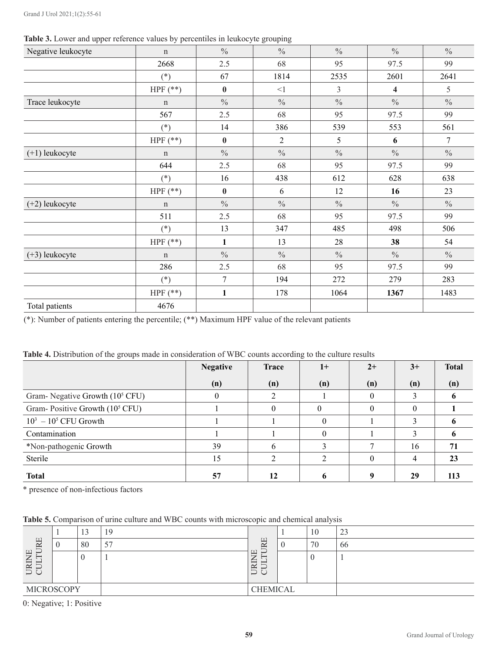|  |  |  |  | Table 3. Lower and upper reference values by percentiles in leukocyte grouping |
|--|--|--|--|--------------------------------------------------------------------------------|
|--|--|--|--|--------------------------------------------------------------------------------|

| $\mathbf{r}$<br>Negative leukocyte | $\sim$ 1<br>$\mathbf n$ | $\frac{0}{0}$  | л.<br>$\overline{\phantom{a}}$<br>$\frac{0}{0}$ | $\frac{0}{0}$ | $\frac{0}{0}$           | $\frac{0}{0}$  |
|------------------------------------|-------------------------|----------------|-------------------------------------------------|---------------|-------------------------|----------------|
|                                    | 2668                    | 2.5            | 68                                              | 95            | 97.5                    | 99             |
|                                    | $(*)$                   | 67             | 1814                                            | 2535          | 2601                    | 2641           |
|                                    | HPF $(**)$              | $\pmb{0}$      | $<\!\!1$                                        | 3             | $\overline{\mathbf{4}}$ | 5              |
| Trace leukocyte                    | $\mathbf n$             | $\frac{0}{0}$  | $\frac{0}{0}$                                   | $\frac{0}{0}$ | $\frac{0}{0}$           | $\frac{0}{0}$  |
|                                    | 567                     | 2.5            | 68                                              | 95            | 97.5                    | 99             |
|                                    | $(*)$                   | 14             | 386                                             | 539           | 553                     | 561            |
|                                    | HPF $(**)$              | $\bf{0}$       | $\overline{2}$                                  | 5             | 6                       | $\overline{7}$ |
| $(+1)$ leukocyte                   | $\mathbf n$             | $\frac{0}{0}$  | $\frac{0}{0}$                                   | $\frac{0}{0}$ | $\frac{0}{0}$           | $\frac{0}{0}$  |
|                                    | 644                     | 2.5            | 68                                              | 95            | 97.5                    | 99             |
|                                    | $(*)$                   | 16             | 438                                             | 612           | 628                     | 638            |
|                                    | HPF $(**)$              | $\bf{0}$       | 6                                               | 12            | 16                      | 23             |
| $(+2)$ leukocyte                   | $\mathbf n$             | $\frac{0}{0}$  | $\frac{0}{0}$                                   | $\frac{0}{0}$ | $\frac{0}{0}$           | $\frac{0}{0}$  |
|                                    | 511                     | 2.5            | 68                                              | 95            | 97.5                    | 99             |
|                                    | $(*)$                   | 13             | 347                                             | 485           | 498                     | 506            |
|                                    | HPF $(**)$              | $\mathbf{1}$   | 13                                              | 28            | 38                      | 54             |
| $(+3)$ leukocyte                   | $\mathbf n$             | $\frac{0}{0}$  | $\frac{0}{0}$                                   | $\frac{0}{0}$ | $\frac{0}{0}$           | $\frac{0}{0}$  |
|                                    | 286                     | 2.5            | 68                                              | 95            | 97.5                    | 99             |
|                                    | $(*)$                   | $\overline{7}$ | 194                                             | 272           | 279                     | 283            |
|                                    | HPF $(**)$              | $\mathbf{1}$   | 178                                             | 1064          | 1367                    | 1483           |
| Total patients                     | 4676                    |                |                                                 |               |                         |                |

(\*): Number of patients entering the percentile; (\*\*) Maximum HPF value of the relevant patients

| Table 4. Distribution of the groups made in consideration of WBC counts according to the culture results |  |
|----------------------------------------------------------------------------------------------------------|--|
|----------------------------------------------------------------------------------------------------------|--|

|                                            | <b>Negative</b> | <b>Trace</b> | $1+$ | $2+$ | $3+$ | <b>Total</b> |
|--------------------------------------------|-----------------|--------------|------|------|------|--------------|
|                                            | (n)             | (n)          | (n)  | (n)  | (n)  | (n)          |
| Gram-Negative Growth (10 <sup>5</sup> CFU) | $\theta$        |              |      | 0    |      |              |
| Gram-Positive Growth (10 <sup>5</sup> CFU) |                 |              |      |      | 0    |              |
| $10^3 - 10^5$ CFU Growth                   |                 |              | 0    |      | ◠    |              |
| Contamination                              |                 |              | 0    |      |      |              |
| *Non-pathogenic Growth                     | 39              |              |      |      | 16   | 71           |
| Sterile                                    | 15              |              |      |      |      | 23           |
| <b>Total</b>                               | 57              | 12           |      |      | 29   | 113          |

\* presence of non-infectious factors

| Table 5. Comparison of urine culture and WBC counts with microscopic and chemical analysis |  |  |  |
|--------------------------------------------------------------------------------------------|--|--|--|
|--------------------------------------------------------------------------------------------|--|--|--|

|                                    |  | $\sim$<br>13 | 19      |                                            |  | 10 | $\bigcap$<br>ن ک |
|------------------------------------|--|--------------|---------|--------------------------------------------|--|----|------------------|
| RE<br>ー                            |  | 80           | 57<br>J | $\boxed{\underline{\ } }$<br>$\sim$<br>٠., |  | 70 | 66               |
| 岂<br>R<br>$\overline{\phantom{0}}$ |  |              |         | ー<br>≃<br>ー<br>ٮ                           |  | ν  |                  |
| <b>MICROSCOPY</b>                  |  |              |         | <b>CHEMICAL</b>                            |  |    |                  |

0: Negative; 1: Positive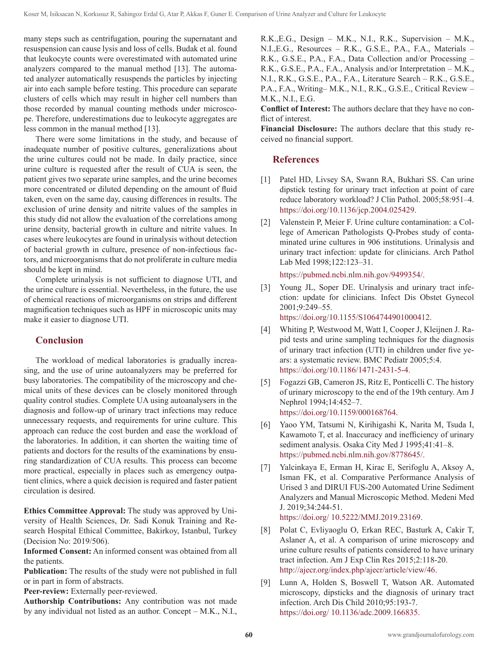many steps such as centrifugation, pouring the supernatant and resuspension can cause lysis and loss of cells. Budak et al. found that leukocyte counts were overestimated with automated urine analyzers compared to the manual method [13]. The automated analyzer automatically resuspends the particles by injecting air into each sample before testing. This procedure can separate clusters of cells which may result in higher cell numbers than those recorded by manual counting methods under microscope. Therefore, underestimations due to leukocyte aggregates are less common in the manual method [13].

There were some limitations in the study, and because of inadequate number of positive cultures, generalizations about the urine cultures could not be made. In daily practice, since urine culture is requested after the result of CUA is seen, the patient gives two separate urine samples, and the urine becomes more concentrated or diluted depending on the amount of fluid taken, even on the same day, causing differences in results. The exclusion of urine density and nitrite values of the samples in this study did not allow the evaluation of the correlations among urine density, bacterial growth in culture and nitrite values. In cases where leukocytes are found in urinalysis without detection of bacterial growth in culture, presence of non-infectious factors, and microorganisms that do not proliferate in culture media should be kept in mind.

Complete urinalysis is not sufficient to diagnose UTI, and the urine culture is essential. Nevertheless, in the future, the use of chemical reactions of microorganisms on strips and different magnification techniques such as HPF in microscopic units may make it easier to diagnose UTI.

# **Conclusion**

The workload of medical laboratories is gradually increasing, and the use of urine autoanalyzers may be preferred for busy laboratories. The compatibility of the microscopy and chemical units of these devices can be closely monitored through quality control studies. Complete UA using autoanalysers in the diagnosis and follow-up of urinary tract infections may reduce unnecessary requests, and requirements for urine culture. This approach can reduce the cost burden and ease the workload of the laboratories. In addition, it can shorten the waiting time of patients and doctors for the results of the examinations by ensuring standardization of CUA results. This process can become more practical, especially in places such as emergency outpatient clinics, where a quick decision is required and faster patient circulation is desired.

**Ethics Committee Approval:** The study was approved by University of Health Sciences, Dr. Sadi Konuk Training and Research Hospital Ethical Committee, Bakirkoy, Istanbul, Turkey (Decision No: 2019/506).

**Informed Consent:** An informed consent was obtained from all the patients.

**Publication:** The results of the study were not published in full or in part in form of abstracts.

**Peer-review:** Externally peer-reviewed.

**Authorship Contributions:** Any contribution was not made by any individual not listed as an author. Concept – M.K., N.I., R.K.,E.G., Design – M.K., N.I., R.K., Supervision – M.K., N.I.,E.G., Resources – R.K., G.S.E., P.A., F.A., Materials – R.K., G.S.E., P.A., F.A., Data Collection and/or Processing – R.K., G.S.E., P.A., F.A., Analysis and/or Interpretation – M.K., N.I., R.K., G.S.E., P.A., F.A., Literature Search – R.K., G.S.E., P.A., F.A., Writing– M.K., N.I., R.K., G.S.E., Critical Review – M.K., N.I., E.G.

**Conflict of Interest:** The authors declare that they have no conflict of interest.

**Financial Disclosure:** The authors declare that this study received no financial support.

## **References**

- [1] Patel HD, Livsey SA, Swann RA, Bukhari SS. Can urine dipstick testing for urinary tract infection at point of care reduce laboratory workload? J Clin Pathol. 2005;58:951–4. https://doi.org/10.1136/jcp.2004.025429.
- [2] Valenstein P, Meier F. Urine culture contamination: a College of American Pathologists Q-Probes study of contaminated urine cultures in 906 institutions. Urinalysis and urinary tract infection: update for clinicians. Arch Pathol Lab Med 1998;122:123–31.

https://pubmed.ncbi.nlm.nih.gov/9499354/.

[3] Young JL, Soper DE. Urinalysis and urinary tract infection: update for clinicians. Infect Dis Obstet Gynecol 2001;9:249–55.

https://doi.org/10.1155/S1064744901000412.

- [4] Whiting P, Westwood M, Watt I, Cooper J, Kleijnen J. Rapid tests and urine sampling techniques for the diagnosis of urinary tract infection (UTI) in children under five years: a systematic review. BMC Pediatr 2005;5:4[.](file:///Users/logos/Desktop/GJU/*GJU-cilt-1-sayi-2-Mayis/GJU-cilt-1-sayi-2-mayis-2021-redaksiyondan%20gelenler/%20https://doi.org/10.1186/1471-2431-5-4) [https://doi.org/10.1186/1471-2431-5-4](file:///Users/logos/Desktop/GJU/*GJU-cilt-1-sayi-2-Mayis/GJU-cilt-1-sayi-2-mayis-2021-redaksiyondan%20gelenler/%20https://doi.org/10.1186/1471-2431-5-4).
- [5] Fogazzi GB, Cameron JS, Ritz E, Ponticelli C. The history of urinary microscopy to the end of the 19th century. Am J Nephrol 1994;14:452–7. https://doi.org/10.1159/000168764.
- [6] Yaoo YM, Tatsumi N, Kirihigashi K, Narita M, Tsuda I, Kawamoto T, et al. Inaccuracy and inefficiency of urinary sediment analysis. Osaka City Med J 1995;41:41–8. https://pubmed.ncbi.nlm.nih.gov/8778645/.
- [7] Yalcinkaya E, Erman H, Kirac E, Serifoglu A, Aksoy A, Isman FK, et al. Comparative Performance Analysis of Urised 3 and DIRUI FUS-200 Automated Urine Sediment Analyzers and Manual Microscopic Method. Medeni Med J. 2019;34:244-51. https://doi.org/ 10.5222/MMJ.2019.23169.
- [8] Polat C, Evliyaoglu O, Erkan REC, Basturk A, Cakir T, Aslaner A, et al. A comparison of urine microscopy and urine culture results of patients considered to have urinary tract infection. Am J Exp Clin Res 2015;2:118-20. http://ajecr.org/index.php/ajecr/article/view/46.
- [9] Lunn A, Holden S, Boswell T, Watson AR. Automated microscopy, dipsticks and the diagnosis of urinary tract infection. Arch Dis Child 2010;95:193-7. https://doi.org/ 10.1136/adc.2009.166835.